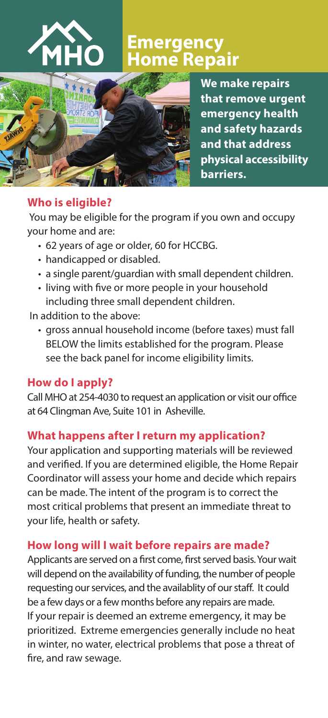

# **Emergency**  ne Repair



**We make repairs that remove urgent emergency health and safety hazards and that address physical accessibility barriers.**

### **Who is eligible?**

 You may be eligible for the program if you own and occupy your home and are:

- 62 years of age or older, 60 for HCCBG.
- handicapped or disabled.
- a single parent/guardian with small dependent children.
- living with five or more people in your household including three small dependent children.

In addition to the above:

• gross annual household income (before taxes) must fall BELOW the limits established for the program. Please see the back panel for income eligibility limits.

# **How do I apply?**

Call MHO at 254-4030 to request an application or visit our office at 64 Clingman Ave, Suite 101 in Asheville.

# **What happens after I return my application?**

Your application and supporting materials will be reviewed and verified. If you are determined eligible, the Home Repair Coordinator will assess your home and decide which repairs can be made. The intent of the program is to correct the most critical problems that present an immediate threat to your life, health or safety.

# **How long will I wait before repairs are made?**

Applicants are served on a first come, first served basis. Your wait will depend on the availability of funding, the number of people requesting our services, and the availablity of our staff. It could be a few days or a few months before any repairs are made. If your repair is deemed an extreme emergency, it may be prioritized. Extreme emergencies generally include no heat in winter, no water, electrical problems that pose a threat of fire, and raw sewage.